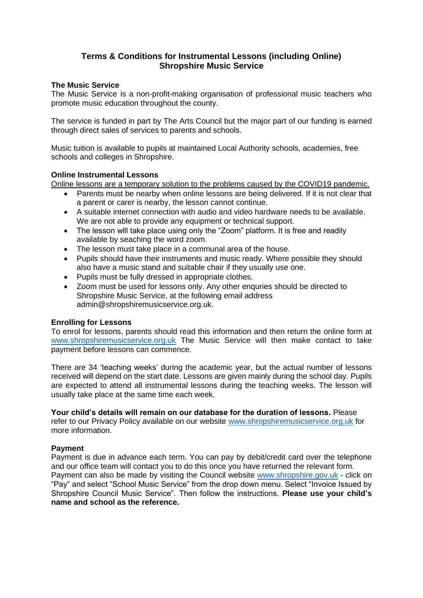## **Terms & Conditions for Instrumental Lessons (including Online) Shropshire Music Service**

## **The Music Service**

The Music Service is a non-profit-making organisation of professional music teachers who promote music education throughout the county.

The service is funded in part by The Arts Council but the major part of our funding is earned through direct sales of services to parents and schools.

Music tuition is available to pupils at maintained Local Authority schools, academies, free schools and colleges in Shropshire.

#### **Online Instrumental Lessons**

Online lessons are a temporary solution to the problems caused by the COVID19 pandemic.

- Parents must be nearby when online lessons are being delivered. If it is not clear that a parent or carer is nearby, the lesson cannot continue.
- A suitable internet connection with audio and video hardware needs to be available. We are not able to provide any equipment or technical support.
- The lesson will take place using only the "Zoom" platform. It is free and readily available by seaching the word zoom.
- The lesson must take place in a communal area of the house.
- Pupils should have their instruments and music ready. Where possible they should also have a music stand and suitable chair if they usually use one.
- Pupils must be fully dressed in appropriate clothes.
- Zoom must be used for lessons only. Any other enquries should be directed to Shropshire Music Service, at the following email address admin@shropshiremusicservice.org.uk.

## **Enrolling for Lessons**

To enrol for lessons, parents should read this information and then return the online form at [www.shropshiremusicservice.org.uk](http://www.shropshiremusicservice.org.uk/) The Music Service will then make contact to take payment before lessons can commence.

There are 34 'teaching weeks' during the academic year, but the actual number of lessons received will depend on the start date. Lessons are given mainly during the school day. Pupils are expected to attend all instrumental lessons during the teaching weeks. The lesson will usually take place at the same time each week.

**Your child's details will remain on our database for the duration of lessons.** Please

refer to our Privacy Policy available on our website [www.shropshiremusicservice.org.uk](http://www.shropshiremusicservice.org.uk/) for more information.

## **Payment**

Payment is due in advance each term. You can pay by debit/credit card over the telephone and our office team will contact you to do this once you have returned the relevant form. Payment can also be made by visiting the Council website [www.shropshire.gov.uk](http://www.shropshire.gov.uk/) - click on "Pay" and select "School Music Service" from the drop down menu. Select "Invoice Issued by Shropshire Council Music Service". Then follow the instructions. **Please use your child's name and school as the reference.**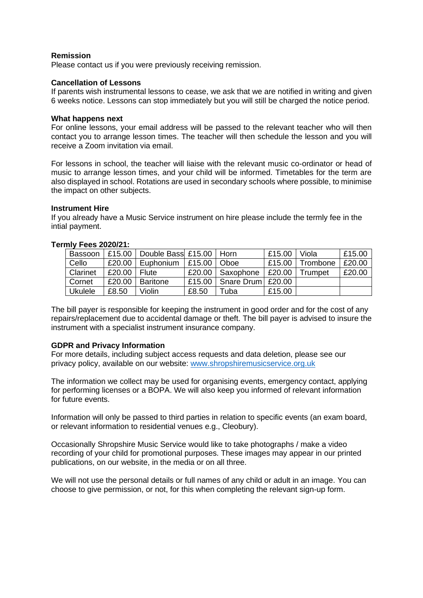#### **Remission**

Please contact us if you were previously receiving remission.

#### **Cancellation of Lessons**

If parents wish instrumental lessons to cease, we ask that we are notified in writing and given 6 weeks notice. Lessons can stop immediately but you will still be charged the notice period.

#### **What happens next**

For online lessons, your email address will be passed to the relevant teacher who will then contact you to arrange lesson times. The teacher will then schedule the lesson and you will receive a Zoom invitation via email.

For lessons in school, the teacher will liaise with the relevant music co-ordinator or head of music to arrange lesson times, and your child will be informed. Timetables for the term are also displayed in school. Rotations are used in secondary schools where possible, to minimise the impact on other subjects.

#### **Instrument Hire**

If you already have a Music Service instrument on hire please include the termly fee in the intial payment.

| $111V$ I GGJ LULUIL I. |                      |                                    |             |                     |        |            |        |
|------------------------|----------------------|------------------------------------|-------------|---------------------|--------|------------|--------|
| Bassoon                |                      | £15.00   Double Bass £15.00   Horn |             |                     | £15.00 | Viola      | £15.00 |
| Cello                  | £20.00               | Euphonium                          | $\pm 15.00$ | Oboe                | £15.00 | l Trombone | £20.00 |
| Clarinet               | £20,00 $\vert$ Flute |                                    | £20.00      | Saxophone           | £20.00 | Trumpet    | £20.00 |
| Cornet                 | £20.00               | <b>Baritone</b>                    | £15.00      | Snare Drum   £20.00 |        |            |        |
| <b>Ukulele</b>         | £8.50                | Violin                             | £8.50       | Tuba                | £15.00 |            |        |

#### **Termly Fees 2020/21:**

The bill payer is responsible for keeping the instrument in good order and for the cost of any repairs/replacement due to accidental damage or theft. The bill payer is advised to insure the instrument with a specialist instrument insurance company.

## **GDPR and Privacy Information**

For more details, including subject access requests and data deletion, please see our privacy policy, available on our website: [www.shropshiremusicservice.org.uk](http://www.shropshiremusicservice.org.uk/)

The information we collect may be used for organising events, emergency contact, applying for performing licenses or a BOPA. We will also keep you informed of relevant information for future events.

Information will only be passed to third parties in relation to specific events (an exam board, or relevant information to residential venues e.g., Cleobury).

Occasionally Shropshire Music Service would like to take photographs / make a video recording of your child for promotional purposes. These images may appear in our printed publications, on our website, in the media or on all three.

We will not use the personal details or full names of any child or adult in an image. You can choose to give permission, or not, for this when completing the relevant sign-up form.